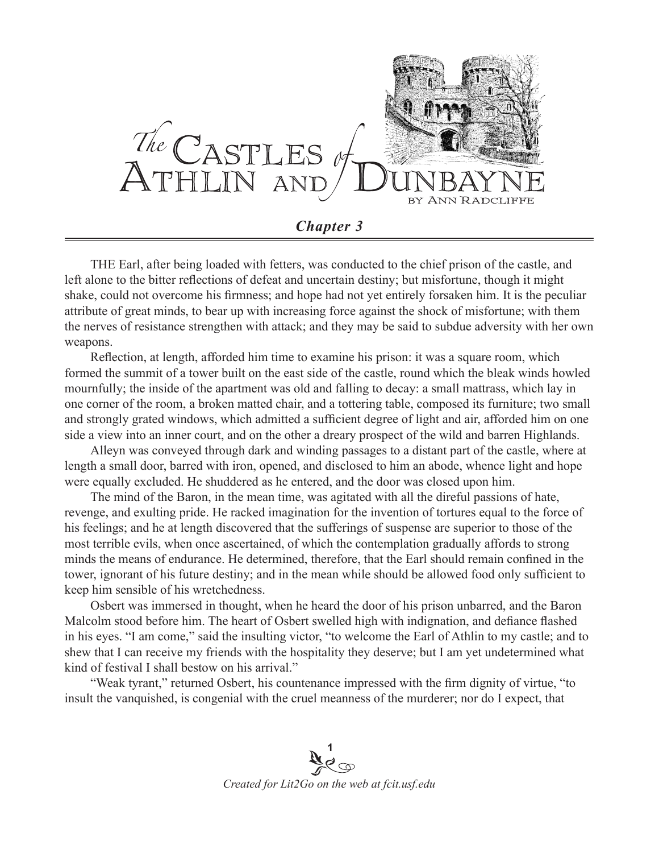

THE Earl, after being loaded with fetters, was conducted to the chief prison of the castle, and left alone to the bitter reflections of defeat and uncertain destiny; but misfortune, though it might shake, could not overcome his firmness; and hope had not yet entirely forsaken him. It is the peculiar attribute of great minds, to bear up with increasing force against the shock of misfortune; with them the nerves of resistance strengthen with attack; and they may be said to subdue adversity with her own weapons.

Reflection, at length, afforded him time to examine his prison: it was a square room, which formed the summit of a tower built on the east side of the castle, round which the bleak winds howled mournfully; the inside of the apartment was old and falling to decay: a small mattrass, which lay in one corner of the room, a broken matted chair, and a tottering table, composed its furniture; two small and strongly grated windows, which admitted a sufficient degree of light and air, afforded him on one side a view into an inner court, and on the other a dreary prospect of the wild and barren Highlands.

Alleyn was conveyed through dark and winding passages to a distant part of the castle, where at length a small door, barred with iron, opened, and disclosed to him an abode, whence light and hope were equally excluded. He shuddered as he entered, and the door was closed upon him.

The mind of the Baron, in the mean time, was agitated with all the direful passions of hate, revenge, and exulting pride. He racked imagination for the invention of tortures equal to the force of his feelings; and he at length discovered that the sufferings of suspense are superior to those of the most terrible evils, when once ascertained, of which the contemplation gradually affords to strong minds the means of endurance. He determined, therefore, that the Earl should remain confined in the tower, ignorant of his future destiny; and in the mean while should be allowed food only sufficient to keep him sensible of his wretchedness.

Osbert was immersed in thought, when he heard the door of his prison unbarred, and the Baron Malcolm stood before him. The heart of Osbert swelled high with indignation, and defiance flashed in his eyes. "I am come," said the insulting victor, "to welcome the Earl of Athlin to my castle; and to shew that I can receive my friends with the hospitality they deserve; but I am yet undetermined what kind of festival I shall bestow on his arrival."

"Weak tyrant," returned Osbert, his countenance impressed with the firm dignity of virtue, "to insult the vanquished, is congenial with the cruel meanness of the murderer; nor do I expect, that

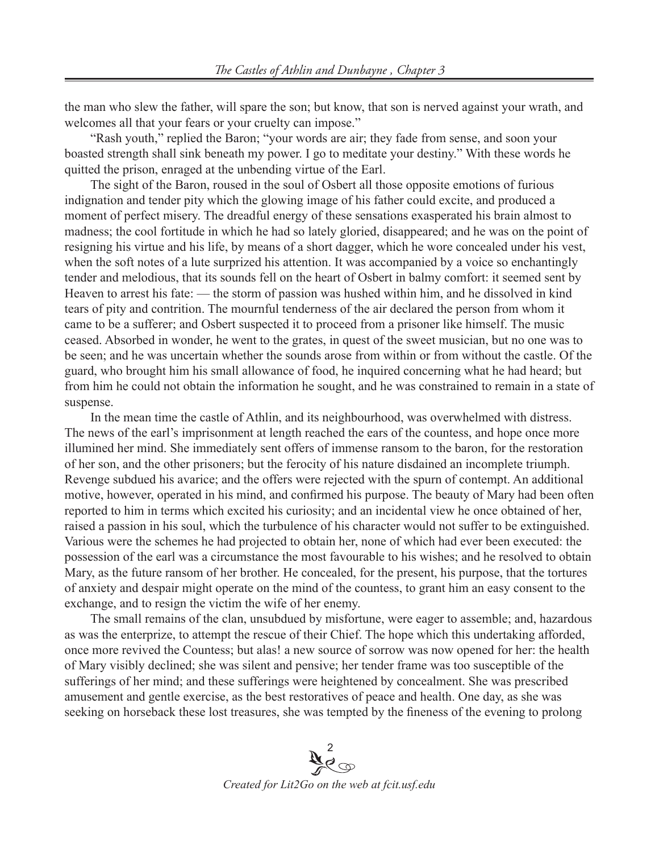the man who slew the father, will spare the son; but know, that son is nerved against your wrath, and welcomes all that your fears or your cruelty can impose."

"Rash youth," replied the Baron; "your words are air; they fade from sense, and soon your boasted strength shall sink beneath my power. I go to meditate your destiny." With these words he quitted the prison, enraged at the unbending virtue of the Earl.

The sight of the Baron, roused in the soul of Osbert all those opposite emotions of furious indignation and tender pity which the glowing image of his father could excite, and produced a moment of perfect misery. The dreadful energy of these sensations exasperated his brain almost to madness; the cool fortitude in which he had so lately gloried, disappeared; and he was on the point of resigning his virtue and his life, by means of a short dagger, which he wore concealed under his vest, when the soft notes of a lute surprized his attention. It was accompanied by a voice so enchantingly tender and melodious, that its sounds fell on the heart of Osbert in balmy comfort: it seemed sent by Heaven to arrest his fate: — the storm of passion was hushed within him, and he dissolved in kind tears of pity and contrition. The mournful tenderness of the air declared the person from whom it came to be a sufferer; and Osbert suspected it to proceed from a prisoner like himself. The music ceased. Absorbed in wonder, he went to the grates, in quest of the sweet musician, but no one was to be seen; and he was uncertain whether the sounds arose from within or from without the castle. Of the guard, who brought him his small allowance of food, he inquired concerning what he had heard; but from him he could not obtain the information he sought, and he was constrained to remain in a state of suspense.

In the mean time the castle of Athlin, and its neighbourhood, was overwhelmed with distress. The news of the earl's imprisonment at length reached the ears of the countess, and hope once more illumined her mind. She immediately sent offers of immense ransom to the baron, for the restoration of her son, and the other prisoners; but the ferocity of his nature disdained an incomplete triumph. Revenge subdued his avarice; and the offers were rejected with the spurn of contempt. An additional motive, however, operated in his mind, and confirmed his purpose. The beauty of Mary had been often reported to him in terms which excited his curiosity; and an incidental view he once obtained of her, raised a passion in his soul, which the turbulence of his character would not suffer to be extinguished. Various were the schemes he had projected to obtain her, none of which had ever been executed: the possession of the earl was a circumstance the most favourable to his wishes; and he resolved to obtain Mary, as the future ransom of her brother. He concealed, for the present, his purpose, that the tortures of anxiety and despair might operate on the mind of the countess, to grant him an easy consent to the exchange, and to resign the victim the wife of her enemy.

The small remains of the clan, unsubdued by misfortune, were eager to assemble; and, hazardous as was the enterprize, to attempt the rescue of their Chief. The hope which this undertaking afforded, once more revived the Countess; but alas! a new source of sorrow was now opened for her: the health of Mary visibly declined; she was silent and pensive; her tender frame was too susceptible of the sufferings of her mind; and these sufferings were heightened by concealment. She was prescribed amusement and gentle exercise, as the best restoratives of peace and health. One day, as she was seeking on horseback these lost treasures, she was tempted by the fineness of the evening to prolong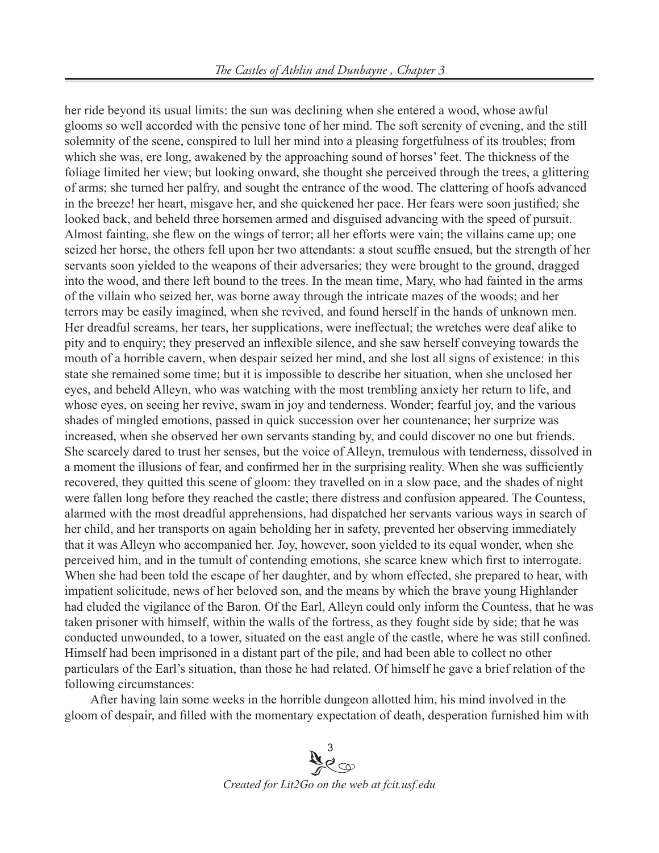her ride beyond its usual limits: the sun was declining when she entered a wood, whose awful glooms so well accorded with the pensive tone of her mind. The soft serenity of evening, and the still solemnity of the scene, conspired to lull her mind into a pleasing forgetfulness of its troubles; from which she was, ere long, awakened by the approaching sound of horses' feet. The thickness of the foliage limited her view; but looking onward, she thought she perceived through the trees, a glittering of arms; she turned her palfry, and sought the entrance of the wood. The clattering of hoofs advanced in the breeze! her heart, misgave her, and she quickened her pace. Her fears were soon justified; she looked back, and beheld three horsemen armed and disguised advancing with the speed of pursuit. Almost fainting, she flew on the wings of terror; all her efforts were vain; the villains came up; one seized her horse, the others fell upon her two attendants: a stout scuffle ensued, but the strength of her servants soon yielded to the weapons of their adversaries; they were brought to the ground, dragged into the wood, and there left bound to the trees. In the mean time, Mary, who had fainted in the arms of the villain who seized her, was borne away through the intricate mazes of the woods; and her terrors may be easily imagined, when she revived, and found herself in the hands of unknown men. Her dreadful screams, her tears, her supplications, were ineffectual; the wretches were deaf alike to pity and to enquiry; they preserved an inflexible silence, and she saw herself conveying towards the mouth of a horrible cavern, when despair seized her mind, and she lost all signs of existence: in this state she remained some time; but it is impossible to describe her situation, when she unclosed her eyes, and beheld Alleyn, who was watching with the most trembling anxiety her return to life, and whose eyes, on seeing her revive, swam in joy and tenderness. Wonder; fearful joy, and the various shades of mingled emotions, passed in quick succession over her countenance; her surprize was increased, when she observed her own servants standing by, and could discover no one but friends. She scarcely dared to trust her senses, but the voice of Alleyn, tremulous with tenderness, dissolved in a moment the illusions of fear, and confirmed her in the surprising reality. When she was sufficiently recovered, they quitted this scene of gloom: they travelled on in a slow pace, and the shades of night were fallen long before they reached the castle; there distress and confusion appeared. The Countess, alarmed with the most dreadful apprehensions, had dispatched her servants various ways in search of her child, and her transports on again beholding her in safety, prevented her observing immediately that it was Alleyn who accompanied her. Joy, however, soon yielded to its equal wonder, when she perceived him, and in the tumult of contending emotions, she scarce knew which first to interrogate. When she had been told the escape of her daughter, and by whom effected, she prepared to hear, with impatient solicitude, news of her beloved son, and the means by which the brave young Highlander had eluded the vigilance of the Baron. Of the Earl, Alleyn could only inform the Countess, that he was taken prisoner with himself, within the walls of the fortress, as they fought side by side; that he was conducted unwounded, to a tower, situated on the east angle of the castle, where he was still confined. Himself had been imprisoned in a distant part of the pile, and had been able to collect no other particulars of the Earl's situation, than those he had related. Of himself he gave a brief relation of the following circumstances:

After having lain some weeks in the horrible dungeon allotted him, his mind involved in the gloom of despair, and filled with the momentary expectation of death, desperation furnished him with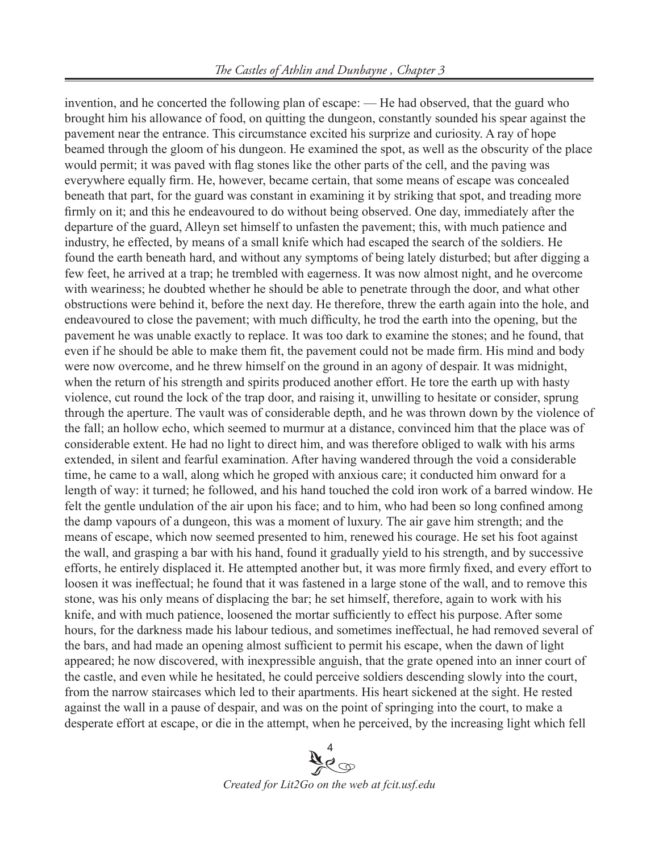invention, and he concerted the following plan of escape: — He had observed, that the guard who brought him his allowance of food, on quitting the dungeon, constantly sounded his spear against the pavement near the entrance. This circumstance excited his surprize and curiosity. A ray of hope beamed through the gloom of his dungeon. He examined the spot, as well as the obscurity of the place would permit; it was paved with flag stones like the other parts of the cell, and the paving was everywhere equally firm. He, however, became certain, that some means of escape was concealed beneath that part, for the guard was constant in examining it by striking that spot, and treading more firmly on it; and this he endeavoured to do without being observed. One day, immediately after the departure of the guard, Alleyn set himself to unfasten the pavement; this, with much patience and industry, he effected, by means of a small knife which had escaped the search of the soldiers. He found the earth beneath hard, and without any symptoms of being lately disturbed; but after digging a few feet, he arrived at a trap; he trembled with eagerness. It was now almost night, and he overcome with weariness; he doubted whether he should be able to penetrate through the door, and what other obstructions were behind it, before the next day. He therefore, threw the earth again into the hole, and endeavoured to close the pavement; with much difficulty, he trod the earth into the opening, but the pavement he was unable exactly to replace. It was too dark to examine the stones; and he found, that even if he should be able to make them fit, the pavement could not be made firm. His mind and body were now overcome, and he threw himself on the ground in an agony of despair. It was midnight, when the return of his strength and spirits produced another effort. He tore the earth up with hasty violence, cut round the lock of the trap door, and raising it, unwilling to hesitate or consider, sprung through the aperture. The vault was of considerable depth, and he was thrown down by the violence of the fall; an hollow echo, which seemed to murmur at a distance, convinced him that the place was of considerable extent. He had no light to direct him, and was therefore obliged to walk with his arms extended, in silent and fearful examination. After having wandered through the void a considerable time, he came to a wall, along which he groped with anxious care; it conducted him onward for a length of way: it turned; he followed, and his hand touched the cold iron work of a barred window. He felt the gentle undulation of the air upon his face; and to him, who had been so long confined among the damp vapours of a dungeon, this was a moment of luxury. The air gave him strength; and the means of escape, which now seemed presented to him, renewed his courage. He set his foot against the wall, and grasping a bar with his hand, found it gradually yield to his strength, and by successive efforts, he entirely displaced it. He attempted another but, it was more firmly fixed, and every effort to loosen it was ineffectual; he found that it was fastened in a large stone of the wall, and to remove this stone, was his only means of displacing the bar; he set himself, therefore, again to work with his knife, and with much patience, loosened the mortar sufficiently to effect his purpose. After some hours, for the darkness made his labour tedious, and sometimes ineffectual, he had removed several of the bars, and had made an opening almost sufficient to permit his escape, when the dawn of light appeared; he now discovered, with inexpressible anguish, that the grate opened into an inner court of the castle, and even while he hesitated, he could perceive soldiers descending slowly into the court, from the narrow staircases which led to their apartments. His heart sickened at the sight. He rested against the wall in a pause of despair, and was on the point of springing into the court, to make a desperate effort at escape, or die in the attempt, when he perceived, by the increasing light which fell

> $\mathscr{F}^\infty$ *Created for Lit2Go on the web at fcit.usf.edu*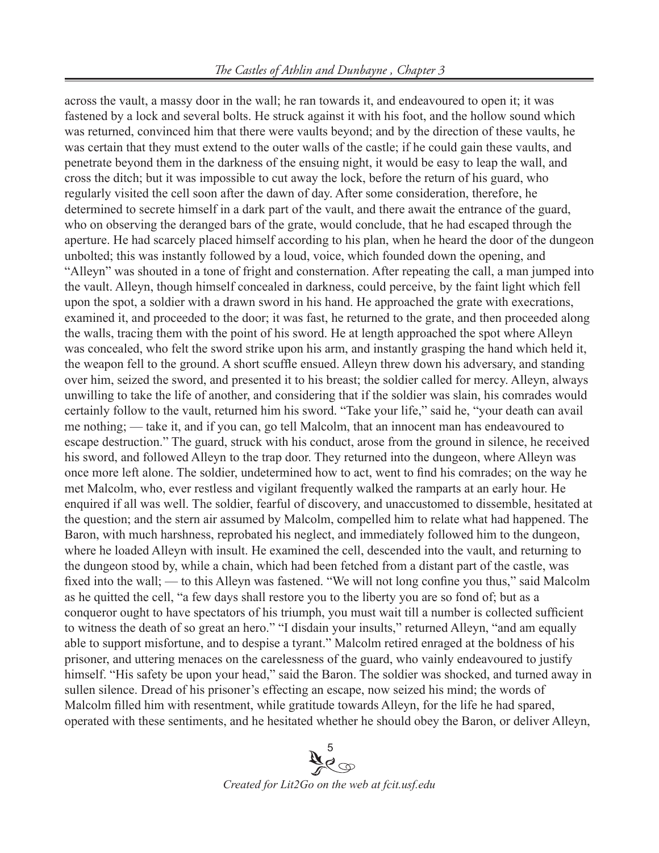across the vault, a massy door in the wall; he ran towards it, and endeavoured to open it; it was fastened by a lock and several bolts. He struck against it with his foot, and the hollow sound which was returned, convinced him that there were vaults beyond; and by the direction of these vaults, he was certain that they must extend to the outer walls of the castle; if he could gain these vaults, and penetrate beyond them in the darkness of the ensuing night, it would be easy to leap the wall, and cross the ditch; but it was impossible to cut away the lock, before the return of his guard, who regularly visited the cell soon after the dawn of day. After some consideration, therefore, he determined to secrete himself in a dark part of the vault, and there await the entrance of the guard, who on observing the deranged bars of the grate, would conclude, that he had escaped through the aperture. He had scarcely placed himself according to his plan, when he heard the door of the dungeon unbolted; this was instantly followed by a loud, voice, which founded down the opening, and "Alleyn" was shouted in a tone of fright and consternation. After repeating the call, a man jumped into the vault. Alleyn, though himself concealed in darkness, could perceive, by the faint light which fell upon the spot, a soldier with a drawn sword in his hand. He approached the grate with execrations, examined it, and proceeded to the door; it was fast, he returned to the grate, and then proceeded along the walls, tracing them with the point of his sword. He at length approached the spot where Alleyn was concealed, who felt the sword strike upon his arm, and instantly grasping the hand which held it, the weapon fell to the ground. A short scuffle ensued. Alleyn threw down his adversary, and standing over him, seized the sword, and presented it to his breast; the soldier called for mercy. Alleyn, always unwilling to take the life of another, and considering that if the soldier was slain, his comrades would certainly follow to the vault, returned him his sword. "Take your life," said he, "your death can avail me nothing; — take it, and if you can, go tell Malcolm, that an innocent man has endeavoured to escape destruction." The guard, struck with his conduct, arose from the ground in silence, he received his sword, and followed Alleyn to the trap door. They returned into the dungeon, where Alleyn was once more left alone. The soldier, undetermined how to act, went to find his comrades; on the way he met Malcolm, who, ever restless and vigilant frequently walked the ramparts at an early hour. He enquired if all was well. The soldier, fearful of discovery, and unaccustomed to dissemble, hesitated at the question; and the stern air assumed by Malcolm, compelled him to relate what had happened. The Baron, with much harshness, reprobated his neglect, and immediately followed him to the dungeon, where he loaded Alleyn with insult. He examined the cell, descended into the vault, and returning to the dungeon stood by, while a chain, which had been fetched from a distant part of the castle, was fixed into the wall; — to this Alleyn was fastened. "We will not long confine you thus," said Malcolm as he quitted the cell, "a few days shall restore you to the liberty you are so fond of; but as a conqueror ought to have spectators of his triumph, you must wait till a number is collected sufficient to witness the death of so great an hero." "I disdain your insults," returned Alleyn, "and am equally able to support misfortune, and to despise a tyrant." Malcolm retired enraged at the boldness of his prisoner, and uttering menaces on the carelessness of the guard, who vainly endeavoured to justify himself. "His safety be upon your head," said the Baron. The soldier was shocked, and turned away in sullen silence. Dread of his prisoner's effecting an escape, now seized his mind; the words of Malcolm filled him with resentment, while gratitude towards Alleyn, for the life he had spared, operated with these sentiments, and he hesitated whether he should obey the Baron, or deliver Alleyn,

> $M_{\odot}^{5}$ *Created for Lit2Go on the web at fcit.usf.edu*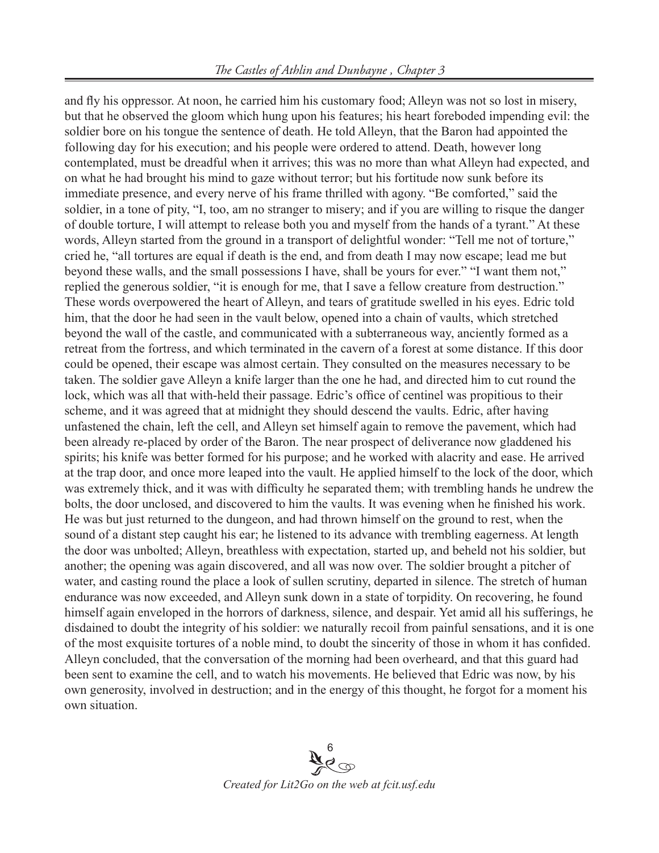and fly his oppressor. At noon, he carried him his customary food; Alleyn was not so lost in misery, but that he observed the gloom which hung upon his features; his heart foreboded impending evil: the soldier bore on his tongue the sentence of death. He told Alleyn, that the Baron had appointed the following day for his execution; and his people were ordered to attend. Death, however long contemplated, must be dreadful when it arrives; this was no more than what Alleyn had expected, and on what he had brought his mind to gaze without terror; but his fortitude now sunk before its immediate presence, and every nerve of his frame thrilled with agony. "Be comforted," said the soldier, in a tone of pity, "I, too, am no stranger to misery; and if you are willing to risque the danger of double torture, I will attempt to release both you and myself from the hands of a tyrant." At these words, Alleyn started from the ground in a transport of delightful wonder: "Tell me not of torture," cried he, "all tortures are equal if death is the end, and from death I may now escape; lead me but beyond these walls, and the small possessions I have, shall be yours for ever." "I want them not," replied the generous soldier, "it is enough for me, that I save a fellow creature from destruction." These words overpowered the heart of Alleyn, and tears of gratitude swelled in his eyes. Edric told him, that the door he had seen in the vault below, opened into a chain of vaults, which stretched beyond the wall of the castle, and communicated with a subterraneous way, anciently formed as a retreat from the fortress, and which terminated in the cavern of a forest at some distance. If this door could be opened, their escape was almost certain. They consulted on the measures necessary to be taken. The soldier gave Alleyn a knife larger than the one he had, and directed him to cut round the lock, which was all that with-held their passage. Edric's office of centinel was propitious to their scheme, and it was agreed that at midnight they should descend the vaults. Edric, after having unfastened the chain, left the cell, and Alleyn set himself again to remove the pavement, which had been already re-placed by order of the Baron. The near prospect of deliverance now gladdened his spirits; his knife was better formed for his purpose; and he worked with alacrity and ease. He arrived at the trap door, and once more leaped into the vault. He applied himself to the lock of the door, which was extremely thick, and it was with difficulty he separated them; with trembling hands he undrew the bolts, the door unclosed, and discovered to him the vaults. It was evening when he finished his work. He was but just returned to the dungeon, and had thrown himself on the ground to rest, when the sound of a distant step caught his ear; he listened to its advance with trembling eagerness. At length the door was unbolted; Alleyn, breathless with expectation, started up, and beheld not his soldier, but another; the opening was again discovered, and all was now over. The soldier brought a pitcher of water, and casting round the place a look of sullen scrutiny, departed in silence. The stretch of human endurance was now exceeded, and Alleyn sunk down in a state of torpidity. On recovering, he found himself again enveloped in the horrors of darkness, silence, and despair. Yet amid all his sufferings, he disdained to doubt the integrity of his soldier: we naturally recoil from painful sensations, and it is one of the most exquisite tortures of a noble mind, to doubt the sincerity of those in whom it has confided. Alleyn concluded, that the conversation of the morning had been overheard, and that this guard had been sent to examine the cell, and to watch his movements. He believed that Edric was now, by his own generosity, involved in destruction; and in the energy of this thought, he forgot for a moment his own situation.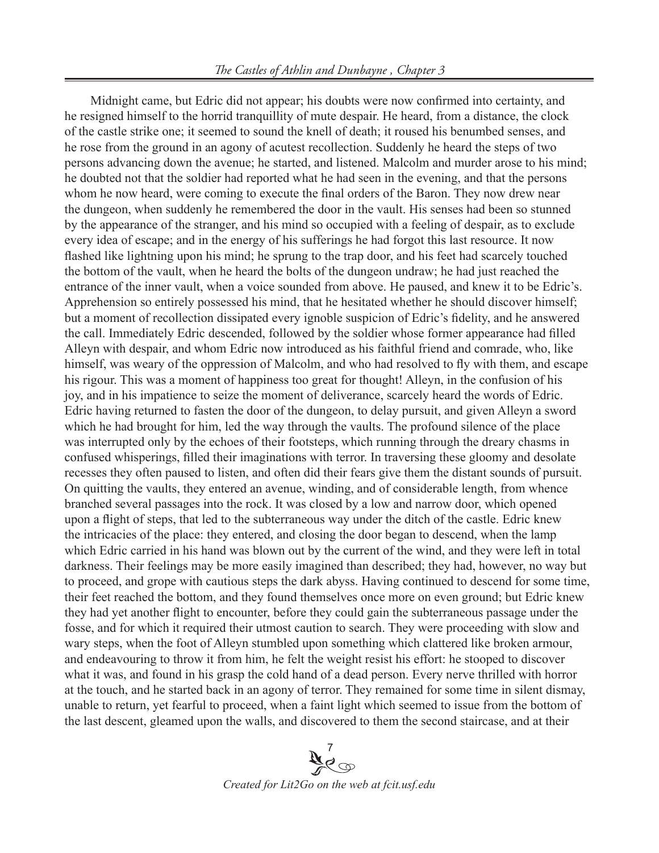Midnight came, but Edric did not appear; his doubts were now confirmed into certainty, and he resigned himself to the horrid tranquillity of mute despair. He heard, from a distance, the clock of the castle strike one; it seemed to sound the knell of death; it roused his benumbed senses, and he rose from the ground in an agony of acutest recollection. Suddenly he heard the steps of two persons advancing down the avenue; he started, and listened. Malcolm and murder arose to his mind; he doubted not that the soldier had reported what he had seen in the evening, and that the persons whom he now heard, were coming to execute the final orders of the Baron. They now drew near the dungeon, when suddenly he remembered the door in the vault. His senses had been so stunned by the appearance of the stranger, and his mind so occupied with a feeling of despair, as to exclude every idea of escape; and in the energy of his sufferings he had forgot this last resource. It now flashed like lightning upon his mind; he sprung to the trap door, and his feet had scarcely touched the bottom of the vault, when he heard the bolts of the dungeon undraw; he had just reached the entrance of the inner vault, when a voice sounded from above. He paused, and knew it to be Edric's. Apprehension so entirely possessed his mind, that he hesitated whether he should discover himself; but a moment of recollection dissipated every ignoble suspicion of Edric's fidelity, and he answered the call. Immediately Edric descended, followed by the soldier whose former appearance had filled Alleyn with despair, and whom Edric now introduced as his faithful friend and comrade, who, like himself, was weary of the oppression of Malcolm, and who had resolved to fly with them, and escape his rigour. This was a moment of happiness too great for thought! Alleyn, in the confusion of his joy, and in his impatience to seize the moment of deliverance, scarcely heard the words of Edric. Edric having returned to fasten the door of the dungeon, to delay pursuit, and given Alleyn a sword which he had brought for him, led the way through the vaults. The profound silence of the place was interrupted only by the echoes of their footsteps, which running through the dreary chasms in confused whisperings, filled their imaginations with terror. In traversing these gloomy and desolate recesses they often paused to listen, and often did their fears give them the distant sounds of pursuit. On quitting the vaults, they entered an avenue, winding, and of considerable length, from whence branched several passages into the rock. It was closed by a low and narrow door, which opened upon a flight of steps, that led to the subterraneous way under the ditch of the castle. Edric knew the intricacies of the place: they entered, and closing the door began to descend, when the lamp which Edric carried in his hand was blown out by the current of the wind, and they were left in total darkness. Their feelings may be more easily imagined than described; they had, however, no way but to proceed, and grope with cautious steps the dark abyss. Having continued to descend for some time, their feet reached the bottom, and they found themselves once more on even ground; but Edric knew they had yet another flight to encounter, before they could gain the subterraneous passage under the fosse, and for which it required their utmost caution to search. They were proceeding with slow and wary steps, when the foot of Alleyn stumbled upon something which clattered like broken armour, and endeavouring to throw it from him, he felt the weight resist his effort: he stooped to discover what it was, and found in his grasp the cold hand of a dead person. Every nerve thrilled with horror at the touch, and he started back in an agony of terror. They remained for some time in silent dismay, unable to return, yet fearful to proceed, when a faint light which seemed to issue from the bottom of the last descent, gleamed upon the walls, and discovered to them the second staircase, and at their

> Ado *Created for Lit2Go on the web at fcit.usf.edu*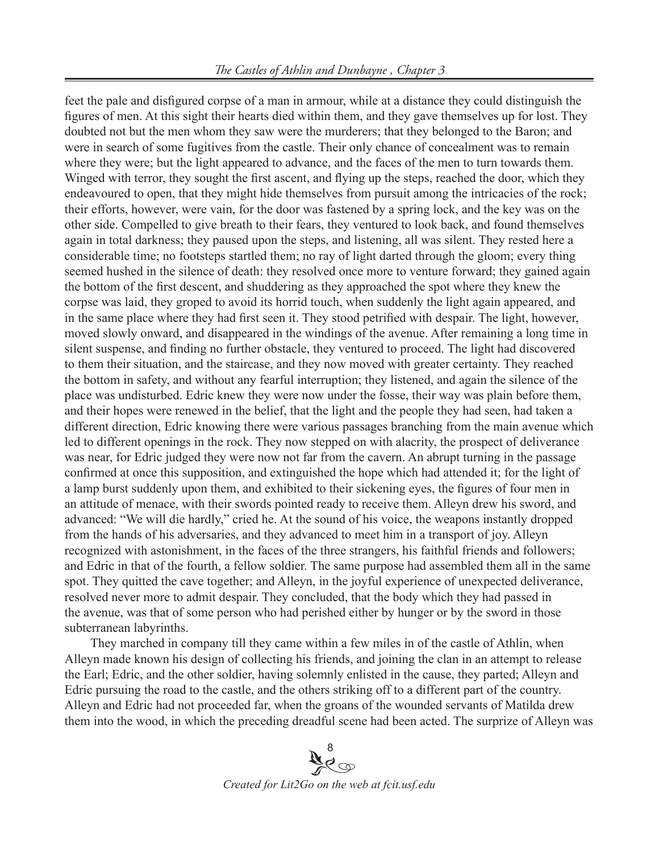feet the pale and disfigured corpse of a man in armour, while at a distance they could distinguish the figures of men. At this sight their hearts died within them, and they gave themselves up for lost. They doubted not but the men whom they saw were the murderers; that they belonged to the Baron; and were in search of some fugitives from the castle. Their only chance of concealment was to remain where they were; but the light appeared to advance, and the faces of the men to turn towards them. Winged with terror, they sought the first ascent, and flying up the steps, reached the door, which they endeavoured to open, that they might hide themselves from pursuit among the intricacies of the rock; their efforts, however, were vain, for the door was fastened by a spring lock, and the key was on the other side. Compelled to give breath to their fears, they ventured to look back, and found themselves again in total darkness; they paused upon the steps, and listening, all was silent. They rested here a considerable time; no footsteps startled them; no ray of light darted through the gloom; every thing seemed hushed in the silence of death: they resolved once more to venture forward; they gained again the bottom of the first descent, and shuddering as they approached the spot where they knew the corpse was laid, they groped to avoid its horrid touch, when suddenly the light again appeared, and in the same place where they had first seen it. They stood petrified with despair. The light, however, moved slowly onward, and disappeared in the windings of the avenue. After remaining a long time in silent suspense, and finding no further obstacle, they ventured to proceed. The light had discovered to them their situation, and the staircase, and they now moved with greater certainty. They reached the bottom in safety, and without any fearful interruption; they listened, and again the silence of the place was undisturbed. Edric knew they were now under the fosse, their way was plain before them, and their hopes were renewed in the belief, that the light and the people they had seen, had taken a different direction, Edric knowing there were various passages branching from the main avenue which led to different openings in the rock. They now stepped on with alacrity, the prospect of deliverance was near, for Edric judged they were now not far from the cavern. An abrupt turning in the passage confirmed at once this supposition, and extinguished the hope which had attended it; for the light of a lamp burst suddenly upon them, and exhibited to their sickening eyes, the figures of four men in an attitude of menace, with their swords pointed ready to receive them. Alleyn drew his sword, and advanced: "We will die hardly," cried he. At the sound of his voice, the weapons instantly dropped from the hands of his adversaries, and they advanced to meet him in a transport of joy. Alleyn recognized with astonishment, in the faces of the three strangers, his faithful friends and followers; and Edric in that of the fourth, a fellow soldier. The same purpose had assembled them all in the same spot. They quitted the cave together; and Alleyn, in the joyful experience of unexpected deliverance, resolved never more to admit despair. They concluded, that the body which they had passed in the avenue, was that of some person who had perished either by hunger or by the sword in those subterranean labyrinths.

They marched in company till they came within a few miles in of the castle of Athlin, when Alleyn made known his design of collecting his friends, and joining the clan in an attempt to release the Earl; Edric, and the other soldier, having solemnly enlisted in the cause, they parted; Alleyn and Edric pursuing the road to the castle, and the others striking off to a different part of the country. Alleyn and Edric had not proceeded far, when the groans of the wounded servants of Matilda drew them into the wood, in which the preceding dreadful scene had been acted. The surprize of Alleyn was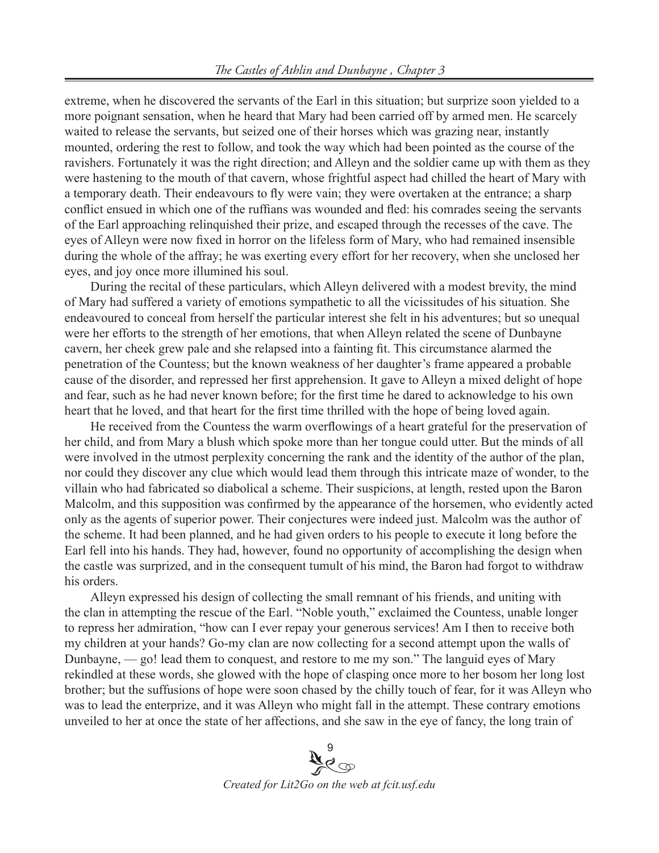extreme, when he discovered the servants of the Earl in this situation; but surprize soon yielded to a more poignant sensation, when he heard that Mary had been carried off by armed men. He scarcely waited to release the servants, but seized one of their horses which was grazing near, instantly mounted, ordering the rest to follow, and took the way which had been pointed as the course of the ravishers. Fortunately it was the right direction; and Alleyn and the soldier came up with them as they were hastening to the mouth of that cavern, whose frightful aspect had chilled the heart of Mary with a temporary death. Their endeavours to fly were vain; they were overtaken at the entrance; a sharp conflict ensued in which one of the ruffians was wounded and fled: his comrades seeing the servants of the Earl approaching relinquished their prize, and escaped through the recesses of the cave. The eyes of Alleyn were now fixed in horror on the lifeless form of Mary, who had remained insensible during the whole of the affray; he was exerting every effort for her recovery, when she unclosed her eyes, and joy once more illumined his soul.

During the recital of these particulars, which Alleyn delivered with a modest brevity, the mind of Mary had suffered a variety of emotions sympathetic to all the vicissitudes of his situation. She endeavoured to conceal from herself the particular interest she felt in his adventures; but so unequal were her efforts to the strength of her emotions, that when Alleyn related the scene of Dunbayne cavern, her cheek grew pale and she relapsed into a fainting fit. This circumstance alarmed the penetration of the Countess; but the known weakness of her daughter's frame appeared a probable cause of the disorder, and repressed her first apprehension. It gave to Alleyn a mixed delight of hope and fear, such as he had never known before; for the first time he dared to acknowledge to his own heart that he loved, and that heart for the first time thrilled with the hope of being loved again.

He received from the Countess the warm overflowings of a heart grateful for the preservation of her child, and from Mary a blush which spoke more than her tongue could utter. But the minds of all were involved in the utmost perplexity concerning the rank and the identity of the author of the plan, nor could they discover any clue which would lead them through this intricate maze of wonder, to the villain who had fabricated so diabolical a scheme. Their suspicions, at length, rested upon the Baron Malcolm, and this supposition was confirmed by the appearance of the horsemen, who evidently acted only as the agents of superior power. Their conjectures were indeed just. Malcolm was the author of the scheme. It had been planned, and he had given orders to his people to execute it long before the Earl fell into his hands. They had, however, found no opportunity of accomplishing the design when the castle was surprized, and in the consequent tumult of his mind, the Baron had forgot to withdraw his orders.

Alleyn expressed his design of collecting the small remnant of his friends, and uniting with the clan in attempting the rescue of the Earl. "Noble youth," exclaimed the Countess, unable longer to repress her admiration, "how can I ever repay your generous services! Am I then to receive both my children at your hands? Go-my clan are now collecting for a second attempt upon the walls of Dunbayne, — go! lead them to conquest, and restore to me my son." The languid eyes of Mary rekindled at these words, she glowed with the hope of clasping once more to her bosom her long lost brother; but the suffusions of hope were soon chased by the chilly touch of fear, for it was Alleyn who was to lead the enterprize, and it was Alleyn who might fall in the attempt. These contrary emotions unveiled to her at once the state of her affections, and she saw in the eye of fancy, the long train of

> $\tilde{\mathcal{H}}^{\infty}$ *Created for Lit2Go on the web at fcit.usf.edu*